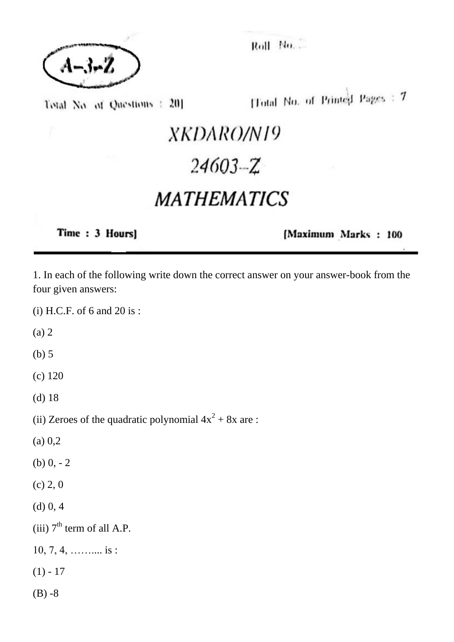

Roll No.

Total No. of Questions : 201

[Total No. of Printed Pages: 7

## XKDARO/N19  $24603 - Z$ **MATHEMATICS**

Time: 3 Hours]

[Maximum Marks: 100

1. In each of the following write down the correct answer on your answer-book from the four given answers:

(i) H.C.F. of 6 and 20 is :

(a) 2

(b) 5

(c) 120

(d) 18

(ii) Zeroes of the quadratic polynomial  $4x^2 + 8x$  are :

(a) 0,2

(b)  $0, -2$ 

- (c) 2, 0
- (d) 0, 4

(iii)  $7<sup>th</sup>$  term of all A.P.

 $10, 7, 4, \ldots$  is :

 $(1) - 17$ 

 $(B) -8$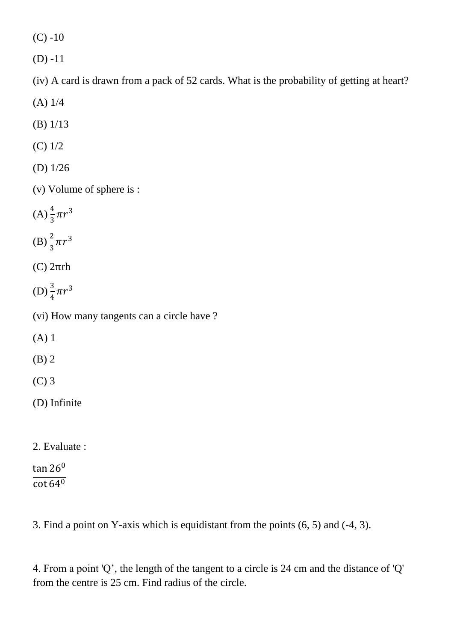$(C) -10$ 

(D) -11

(iv) A card is drawn from a pack of 52 cards. What is the probability of getting at heart?

- (A) 1/4
- (B) 1/13
- (C) 1/2
- (D) 1/26
- (v) Volume of sphere is :
- $(A) \frac{4}{3} \pi r^3$
- (B)  $\frac{2}{3}\pi r^3$
- (C) 2πrh
- (D)  $\frac{3}{4}\pi r^3$
- (vi) How many tangents can a circle have ?
- (A) 1
- (B) 2
- (C) 3
- (D) Infinite
- 2. Evaluate :

## $\tan 26^0$  $\overline{\cot 64^0}$

3. Find a point on Y-axis which is equidistant from the points (6, 5) and (-4, 3).

4. From a point 'Q', the length of the tangent to a circle is 24 cm and the distance of 'Q' from the centre is 25 cm. Find radius of the circle.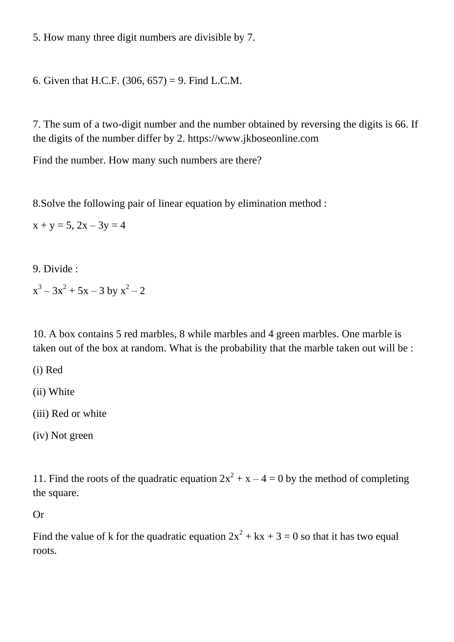5. How many three digit numbers are divisible by 7.

6. Given that H.C.F.  $(306, 657) = 9$ . Find L.C.M.

7. The sum of a two-digit number and the number obtained by reversing the digits is 66. If the digits of the number differ by 2. https://www.jkboseonline.com

Find the number. How many such numbers are there?

8.Solve the following pair of linear equation by elimination method :

 $x + y = 5$ ,  $2x - 3y = 4$ 

9. Divide :

 $x^3 - 3x^2 + 5x - 3$  by  $x^2 - 2$ 

10. A box contains 5 red marbles, 8 while marbles and 4 green marbles. One marble is taken out of the box at random. What is the probability that the marble taken out will be :

(i) Red

(ii) White

(iii) Red or white

(iv) Not green

11. Find the roots of the quadratic equation  $2x^2 + x - 4 = 0$  by the method of completing the square.

Or

Find the value of k for the quadratic equation  $2x^2 + kx + 3 = 0$  so that it has two equal roots.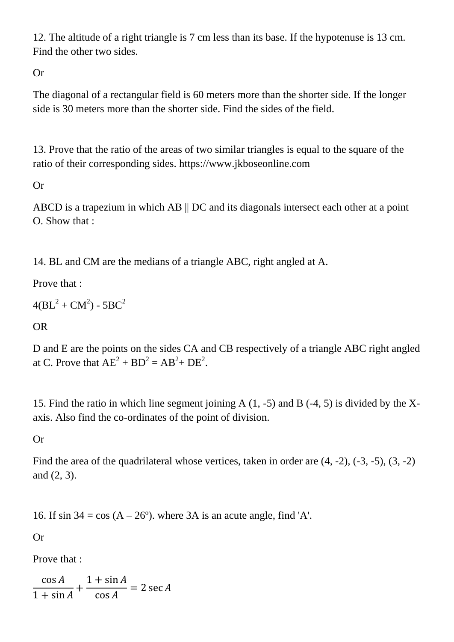12. The altitude of a right triangle is 7 cm less than its base. If the hypotenuse is 13 cm. Find the other two sides.

Or

The diagonal of a rectangular field is 60 meters more than the shorter side. If the longer side is 30 meters more than the shorter side. Find the sides of the field.

13. Prove that the ratio of the areas of two similar triangles is equal to the square of the ratio of their corresponding sides. https://www.jkboseonline.com

Or

ABCD is a trapezium in which AB || DC and its diagonals intersect each other at a point O. Show that :

14. BL and CM are the medians of a triangle ABC, right angled at A.

Prove that :

```
4{\rm (BL}^2+{\rm CM}^2) - 5{\rm BC}^2
```
OR

D and E are the points on the sides CA and CB respectively of a triangle ABC right angled at C. Prove that  $AE^2 + BD^2 = AB^2 + DE^2$ .

15. Find the ratio in which line segment joining A (1, -5) and B (-4, 5) is divided by the Xaxis. Also find the co-ordinates of the point of division.

Or

Find the area of the quadrilateral whose vertices, taken in order are (4, -2), (-3, -5), (3, -2) and (2, 3).

16. If sin  $34 = \cos (A - 26^{\circ})$ , where  $3A$  is an acute angle, find 'A'.

Or

Prove that :

 $\cos A$  $1 + \sin A$ +  $1 + \sin A$ cos  $= 2 \sec A$